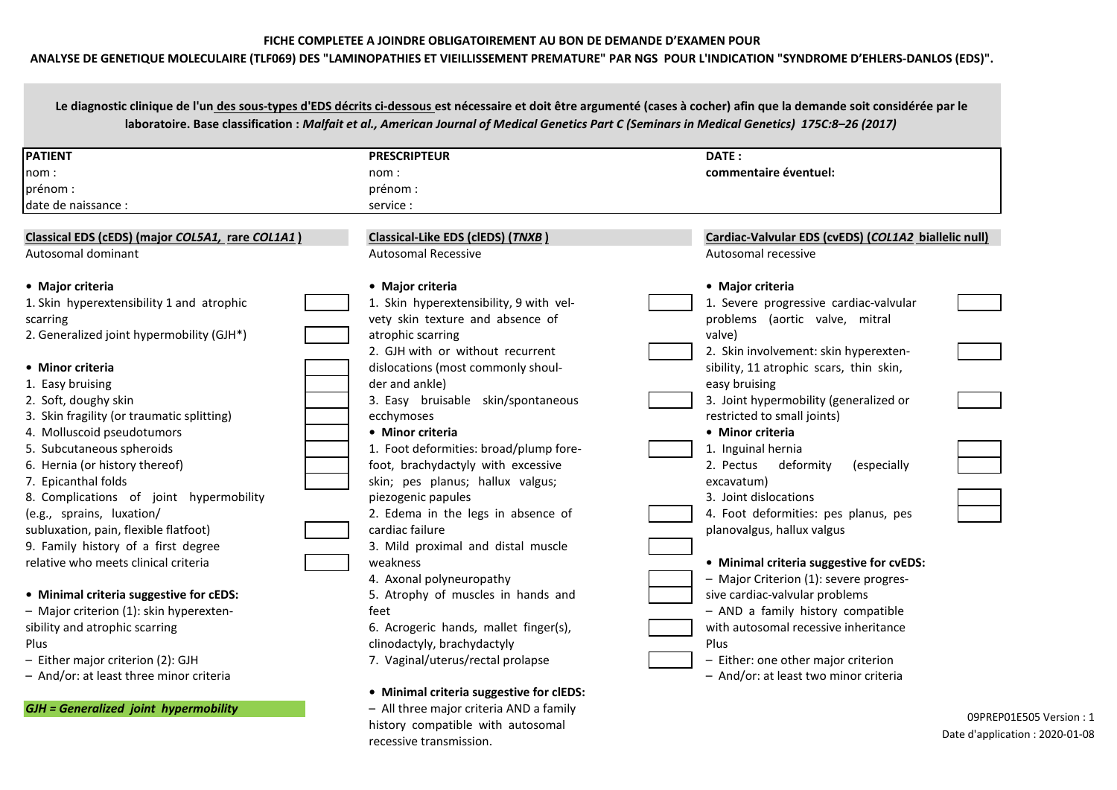### **FICHE COMPLETEE A JOINDRE OBLIGATOIREMENT AU BON DE DEMANDE D'EXAMEN POUR**

## **ANALYSE DE GENETIQUE MOLECULAIRE (TLF069) DES "LAMINOPATHIES ET VIEILLISSEMENT PREMATURE" PAR NGS POUR L'INDICATION "SYNDROME D'EHLERS-DANLOS (EDS)".**

Le diagnostic clinique de l'un des sous-types d'EDS décrits ci-dessous est nécessaire et doit être argumenté (cases à cocher) afin que la demande soit considérée par le **laboratoire. Base classification :** *Malfait et al., American Journal of Medical Genetics Part C (Seminars in Medical Genetics) 175C:8–26 (2017)*

| <b>PATIENT</b>                                   | <b>PRESCRIPTEUR</b>                      | DATE:                                                |
|--------------------------------------------------|------------------------------------------|------------------------------------------------------|
| nom:                                             | nom :                                    | commentaire éventuel:                                |
| prénom :                                         | prénom :                                 |                                                      |
| date de naissance :                              | service :                                |                                                      |
|                                                  |                                          |                                                      |
| Classical EDS (cEDS) (major COL5A1, rare COL1A1) | Classical-Like EDS (clEDS) (TNXB)        | Cardiac-Valvular EDS (cvEDS) (COL1A2 biallelic null) |
| Autosomal dominant                               | <b>Autosomal Recessive</b>               | Autosomal recessive                                  |
| • Major criteria                                 | • Major criteria                         | • Major criteria                                     |
| 1. Skin hyperextensibility 1 and atrophic        | 1. Skin hyperextensibility, 9 with vel-  | 1. Severe progressive cardiac-valvular               |
| scarring                                         | vety skin texture and absence of         | problems (aortic valve, mitral                       |
| 2. Generalized joint hypermobility (GJH*)        | atrophic scarring                        | valve)                                               |
|                                                  | 2. GJH with or without recurrent         | 2. Skin involvement: skin hyperexten-                |
| • Minor criteria                                 | dislocations (most commonly shoul-       | sibility, 11 atrophic scars, thin skin,              |
| 1. Easy bruising                                 | der and ankle)                           | easy bruising                                        |
| 2. Soft, doughy skin                             | 3. Easy bruisable skin/spontaneous       | 3. Joint hypermobility (generalized or               |
| 3. Skin fragility (or traumatic splitting)       | ecchymoses                               | restricted to small joints)                          |
| 4. Molluscoid pseudotumors                       | • Minor criteria                         | • Minor criteria                                     |
| 5. Subcutaneous spheroids                        | 1. Foot deformities: broad/plump fore-   | 1. Inguinal hernia                                   |
| 6. Hernia (or history thereof)                   | foot, brachydactyly with excessive       | 2. Pectus<br>deformity<br>(especially                |
| 7. Epicanthal folds                              | skin; pes planus; hallux valgus;         | excavatum)                                           |
| 8. Complications of joint hypermobility          | piezogenic papules                       | 3. Joint dislocations                                |
| (e.g., sprains, luxation/                        | 2. Edema in the legs in absence of       | 4. Foot deformities: pes planus, pes                 |
| subluxation, pain, flexible flatfoot)            | cardiac failure                          | planovalgus, hallux valgus                           |
| 9. Family history of a first degree              | 3. Mild proximal and distal muscle       |                                                      |
| relative who meets clinical criteria             | weakness                                 | • Minimal criteria suggestive for cvEDS:             |
|                                                  | 4. Axonal polyneuropathy                 | - Major Criterion (1): severe progres-               |
| • Minimal criteria suggestive for cEDS:          | 5. Atrophy of muscles in hands and       | sive cardiac-valvular problems                       |
| - Major criterion (1): skin hyperexten-          | feet                                     | - AND a family history compatible                    |
| sibility and atrophic scarring                   | 6. Acrogeric hands, mallet finger(s),    | with autosomal recessive inheritance                 |
| Plus                                             | clinodactyly, brachydactyly              | Plus                                                 |
| - Either major criterion (2): GJH                | 7. Vaginal/uterus/rectal prolapse        | - Either: one other major criterion                  |
| - And/or: at least three minor criteria          |                                          | - And/or: at least two minor criteria                |
|                                                  | • Minimal criteria suggestive for clEDS: |                                                      |
| <b>GJH</b> = Generalized joint hypermobility     | - All three major criteria AND a family  |                                                      |

history compatible with autosomal

recessive transmission.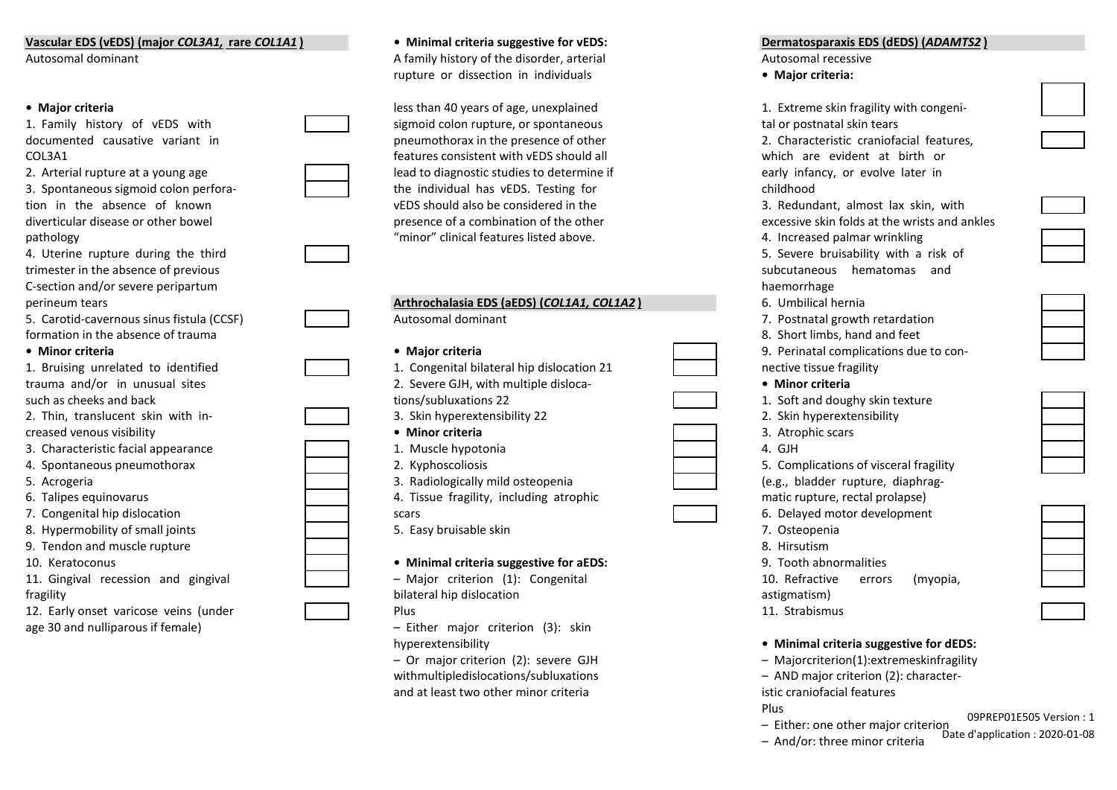## **Vascular EDS (vEDS) (major** *COL3A1,* **rare** *COL1A1* **) • Minimal criteria suggestive for vEDS: Dermatosparaxis EDS (dEDS) (***ADAMTS2* **)**

- 
- 
- 4. Uterine rupture during the third trimester in the absence of previous C-section and/or severe peripartum

| 1. Bruising unrelated to identified |  |  |  |  |
|-------------------------------------|--|--|--|--|
| trauma and/or in unusual sites      |  |  |  |  |
| such as cheeks and back             |  |  |  |  |
|                                     |  |  |  |  |

|  | 2. Thin, translucent skin with in |  |  |
|--|-----------------------------------|--|--|
|  | creased venous visibility         |  |  |

- 3. Characteristic facial appearance
- 4. Spontaneous pneumothorax
- 
- 6. Talipes equinovarus
- 7. Congenital hip dislocation
- 8. Hypermobility of small joints
- 9. Tendon and muscle rupture
- 
- 11. Gingival recession and gingival
- 12. Early onset varicose veins (under age 30 and nulliparous if female) – Either major criterion (3): skin

# Autosomal dominant a metal and A family history of the disorder, arterial and Autosomal recessive rupture or dissection in individuals **• Major criteria:**

• **Major criteria 1. Extreme skin fragility with the skin fragment of age, unexplained in fragility with congenies**  $\frac{1}{2}$  **less than 40 years of age, unexplained** 1. Family history of vEDS with sigmoid colon rupture, or spontaneous tal or postnatal sigmoid colon rupture, or spontaneous documented causative variant in phase and pneumothorax in the presence of other 2. Characteristic craniofacial features,  $\alpha$ COL3A1 *COL3A1 COL3A1 COL3A1 COL3A1 COL3A1 COL3A1 COL3A1 COL3A1 COL3A1 COL3A1 COL3A1 COL3A1 COL3A1***</del> <b>***COL3A1 COL3A1 COL3A1 COL3A1 COL3A1* **<b>***COL3A1 COL3A* 2. Arterial rupture at a young age lead to diagnostic studies to determine if 3. Spontaneous sigmoid colon perfora-  $\parallel$  the individual has vEDS. Testing for tion in the absence of known vEDS should also be considered in the 3. Redundant, almost lay skin, with lax skin, with lax skin, with lax skin, with lax skin, with lax skin, with lax skin, with lax skin, with lax skin, with diverticular disease or other bowel presence of a combination of the other excessive skin for the writing at the writing at the writing at the writing at the writing at the writing at the writing at the writing at the writ pathology  $\blacksquare$  minor" clinical features listed above.

| perineum tears                            | Arthrochalasia EDS (aEDS) (COL1A1, COL1A2) | 6. Umbilical hernia                    |  |
|-------------------------------------------|--------------------------------------------|----------------------------------------|--|
| 5. Carotid-cavernous sinus fistula (CCSF) | Autosomal dominant                         | 7. Postnatal growth retardation        |  |
| formation in the absence of trauma        |                                            | 8. Short limbs, hand and feet          |  |
| • Minor criteria                          | • Major criteria                           | 9. Perinatal complications due to con- |  |
| 1. Bruising unrelated to identified       | 1. Congenital bilateral hip dislocation 21 | nective tissue fragility               |  |
| trauma and/or in unusual sites            | 2. Severe GJH, with multiple disloca-      | • Minor criteria                       |  |
| such as cheeks and back                   | tions/subluxations 22                      | 1. Soft and doughy skin texture        |  |
| 2. Thin, translucent skin with in-        | 3. Skin hyperextensibility 22              | 2. Skin hyperextensibility             |  |
| creased venous visibility                 | • Minor criteria                           | 3. Atrophic scars                      |  |
| 3. Characteristic facial appearance       | 1. Muscle hypotonia                        | 4. GJH                                 |  |
| 4. Spontaneous pneumothorax               | 2. Kyphoscoliosis                          | 5. Complications of visceral fragility |  |
| 5. Acrogeria                              | 3. Radiologically mild osteopenia          | (e.g., bladder rupture, diaphrag-      |  |
| 6. Talipes equinovarus                    | 4. Tissue fragility, including atrophic    | matic rupture, rectal prolapse)        |  |
| 7. Congenital hip dislocation             | scars                                      | 6. Delayed motor development           |  |
| 8. Hypermobility of small joints          | 5. Easy bruisable skin                     | 7. Osteopenia                          |  |
| 9. Tendon and muscle rupture              |                                            | 8. Hirsutism                           |  |
| 10. Keratoconus                           | • Minimal criteria suggestive for aEDS:    | 9. Tooth abnormalities                 |  |
| 11. Gingival recession and gingival       | - Major criterion (1): Congenital          | 10. Refractive<br>(myopia,<br>errors   |  |
| fragility                                 | bilateral hip dislocation                  | astigmatism)                           |  |
| 12. Early onset varicose veins (under     | Plus                                       | 11. Strabismus                         |  |
|                                           |                                            |                                        |  |

withmultipledislocations/subluxations extending the state of AND major criterion (2): characterand at least two other minor criteria istic craniofacial features

| 1. Extreme skin fragility with congeni-             |
|-----------------------------------------------------|
| tal or postnatal skin tears                         |
| 2. Characteristic craniofacial features,            |
| which are evident at birth or                       |
| early infancy, or evolve later in                   |
| childhood                                           |
| 3. Redundant, almost lax skin, with                 |
| excessive skin folds at the wrists and ankles       |
| 4. Increased palmar wrinkling                       |
| 5. Severe bruisability with a risk of               |
| hematomas and<br>subcutaneous                       |
| haemorrhage                                         |
| 6. Umbilical hernia                                 |
| 7. Postnatal growth retardation                     |
| 8. Short limbs, hand and feet                       |
| 9. Perinatal complications due to con-              |
| nective tissue fragility                            |
| • Minor criteria                                    |
| 1. Soft and doughy skin texture                     |
| 2. Skin hyperextensibility                          |
| 3. Atrophic scars                                   |
| $4.$ GJH                                            |
| 5. Complications of visceral fragility              |
| (e.g., bladder rupture, diaphrag-                   |
| matic rupture, rectal prolapse)                     |
| 6. Delayed motor development                        |
| 7. Osteopenia                                       |
| 8. Hirsutism                                        |
| 9. Tooth abnormalities                              |
| 10. Refractive errors<br>(myopia,                   |
| astigmatism)<br>11. Strabismus                      |
|                                                     |
| ويقتلون المرد<br>.<br>. c.<br>A 1.2.2.2<br>÷<br>JER |



hyperextensibility **• Minimal criteria suggestive for dEDS:**

– Or major criterion (2): severe GJH – Majorcriterion(1):extremeskinfragility

Plus

- 09PREP01E505 Version : 1
- Either: one other major criterion
- And/or: three minor criteria

Date d'application : 2020-01-08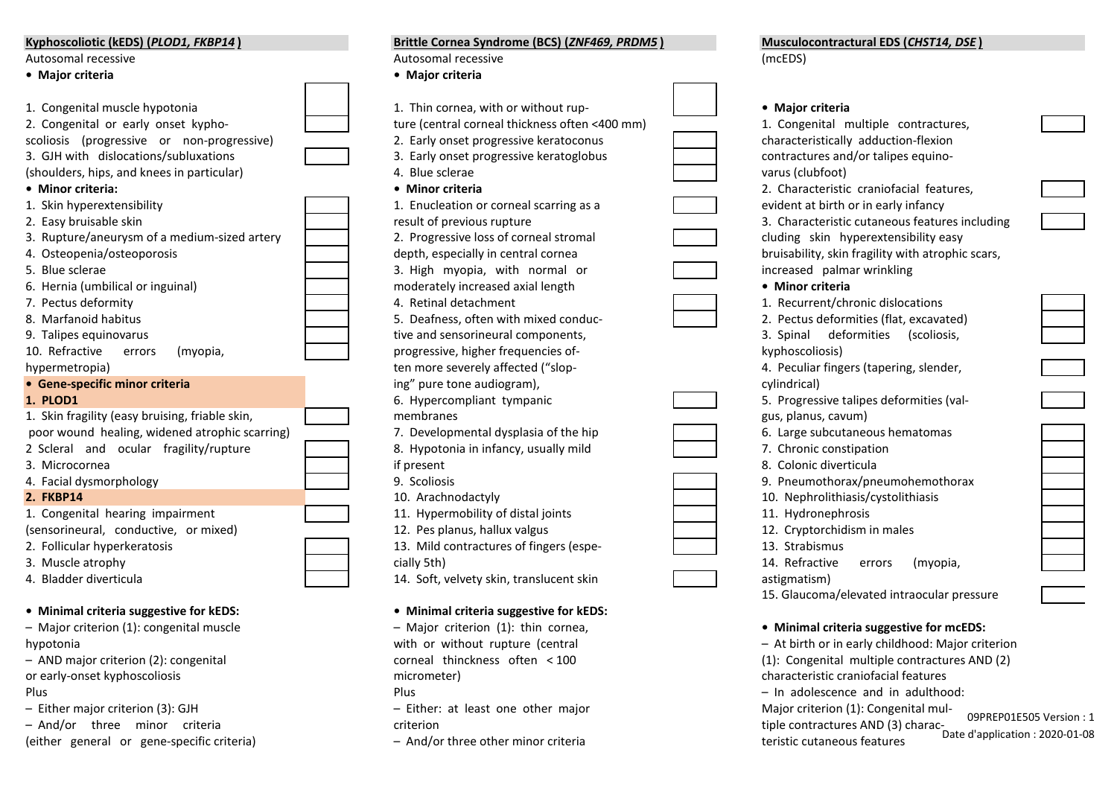| Kyphoscoliotic (kEDS) (PLOD1, FKBP14)           | Brittle Cornea Syndrome (BCS) (ZNF469, PRDM5)  | Musculocontractural EDS (CHST14, DSE)             |
|-------------------------------------------------|------------------------------------------------|---------------------------------------------------|
| Autosomal recessive                             | Autosomal recessive                            | (mcEDS)                                           |
| • Major criteria                                | • Major criteria                               |                                                   |
| 1. Congenital muscle hypotonia                  | 1. Thin cornea, with or without rup-           | • Major criteria                                  |
| 2. Congenital or early onset kypho-             | ture (central corneal thickness often <400 mm) | 1. Congenital multiple contractures,              |
| scoliosis (progressive or non-progressive)      | 2. Early onset progressive keratoconus         | characteristically adduction-flexion              |
| 3. GJH with dislocations/subluxations           | 3. Early onset progressive keratoglobus        | contractures and/or talipes equino-               |
| (shoulders, hips, and knees in particular)      | 4. Blue sclerae                                | varus (clubfoot)                                  |
| • Minor criteria:                               | • Minor criteria                               | 2. Characteristic craniofacial features,          |
| 1. Skin hyperextensibility                      | 1. Enucleation or corneal scarring as a        | evident at birth or in early infancy              |
| 2. Easy bruisable skin                          | result of previous rupture                     | 3. Characteristic cutaneous features including    |
| 3. Rupture/aneurysm of a medium-sized artery    | 2. Progressive loss of corneal stromal         | cluding skin hyperextensibility easy              |
| 4. Osteopenia/osteoporosis                      | depth, especially in central cornea            | bruisability, skin fragility with atrophic scars, |
| 5. Blue sclerae                                 | 3. High myopia, with normal or                 | increased palmar wrinkling                        |
| 6. Hernia (umbilical or inguinal)               | moderately increased axial length              | • Minor criteria                                  |
| 7. Pectus deformity                             | 4. Retinal detachment                          | 1. Recurrent/chronic dislocations                 |
| 8. Marfanoid habitus                            | 5. Deafness, often with mixed conduc-          | 2. Pectus deformities (flat, excavated)           |
| 9. Talipes equinovarus                          | tive and sensorineural components,             | 3. Spinal deformities (scoliosis,                 |
| 10. Refractive<br>errors<br>(myopia,            | progressive, higher frequencies of-            | kyphoscoliosis)                                   |
| hypermetropia)                                  | ten more severely affected ("slop-             | 4. Peculiar fingers (tapering, slender,           |
| • Gene-specific minor criteria                  | ing" pure tone audiogram),                     | cylindrical)                                      |
| <b>1. PLOD1</b>                                 | 6. Hypercompliant tympanic                     | 5. Progressive talipes deformities (val-          |
| 1. Skin fragility (easy bruising, friable skin, | membranes                                      | gus, planus, cavum)                               |
| poor wound healing, widened atrophic scarring)  | 7. Developmental dysplasia of the hip          | 6. Large subcutaneous hematomas                   |
| 2 Scleral and ocular fragility/rupture          | 8. Hypotonia in infancy, usually mild          | 7. Chronic constipation                           |
| 3. Microcornea                                  | if present                                     | 8. Colonic diverticula                            |
| 4. Facial dysmorphology                         | 9. Scoliosis                                   | 9. Pneumothorax/pneumohemothorax                  |
| <b>2. FKBP14</b>                                | 10. Arachnodactyly                             | 10. Nephrolithiasis/cystolithiasis                |
| 1. Congenital hearing impairment                | 11. Hypermobility of distal joints             | 11. Hydronephrosis                                |
| (sensorineural, conductive, or mixed)           | 12. Pes planus, hallux valgus                  | 12. Cryptorchidism in males                       |
| 2. Follicular hyperkeratosis                    | 13. Mild contractures of fingers (espe-        | 13. Strabismus                                    |
| 3. Muscle atrophy                               | cially 5th)                                    | 14. Refractive<br>(myopia,<br>errors              |
| 4. Bladder diverticula                          | 14. Soft, velvety skin, translucent skin       | astigmatism)                                      |
|                                                 |                                                | 15. Glaucoma/elevated intraocular pressure        |
| • Minimal criteria suggestive for kEDS:         | • Minimal criteria suggestive for kEDS:        |                                                   |
| - Major criterion (1): congenital muscle        | - Major criterion (1): thin cornea,            | • Minimal criteria suggestive for mcEDS:          |
| hypotonia                                       | with or without rupture (central               | - At birth or in early childhood: Major criterion |
| - AND major criterion (2): congenital           | corneal thinckness often < 100                 | (1): Congenital multiple contractures AND (2)     |
| or early-onset kyphoscoliosis                   | micrometer)                                    | characteristic craniofacial features              |
| Plus                                            | Plus                                           | - In adolescence and in adulthood:                |
| - Either major criterion (3): GJH               | - Either: at least one other major             | Major criterion (1): Congenital mul-<br>00000001  |

- 
- And/or three minor criteria criterion tiple contractures AND (3) charac- (either general or gene-specific criteria)
	-

 09PREP01E505 Version : 1 Date d'application : 2020-01-08